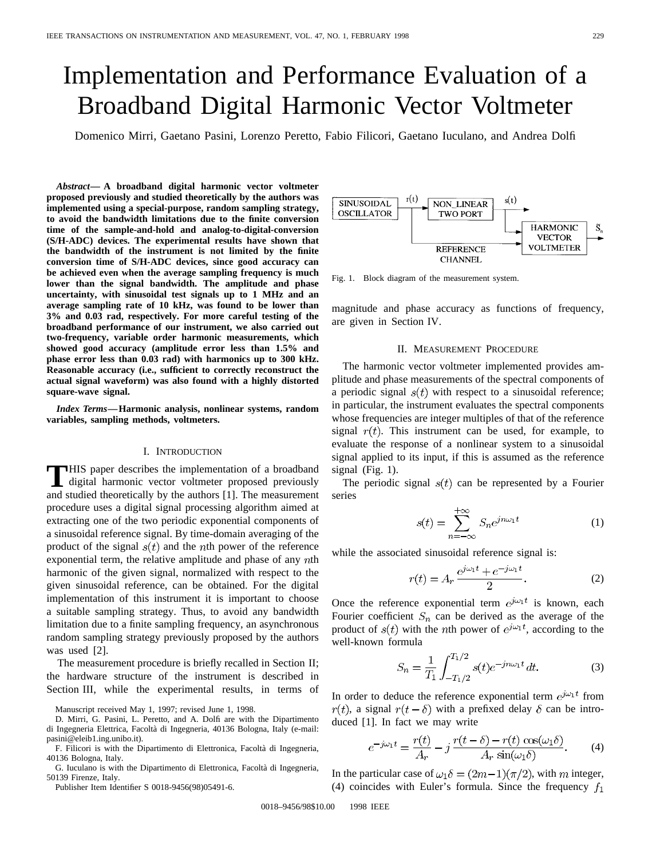# Implementation and Performance Evaluation of a Broadband Digital Harmonic Vector Voltmeter

Domenico Mirri, Gaetano Pasini, Lorenzo Peretto, Fabio Filicori, Gaetano Iuculano, and Andrea Dolfi

*Abstract—* **A broadband digital harmonic vector voltmeter proposed previously and studied theoretically by the authors was implemented using a special-purpose, random sampling strategy, to avoid the bandwidth limitations due to the finite conversion time of the sample-and-hold and analog-to-digital-conversion (S/H-ADC) devices. The experimental results have shown that the bandwidth of the instrument is not limited by the finite conversion time of S/H-ADC devices, since good accuracy can be achieved even when the average sampling frequency is much lower than the signal bandwidth. The amplitude and phase uncertainty, with sinusoidal test signals up to 1 MHz and an average sampling rate of 10 kHz, was found to be lower than 3% and 0.03 rad, respectively. For more careful testing of the broadband performance of our instrument, we also carried out two-frequency, variable order harmonic measurements, which showed good accuracy (amplitude error less than 1.5% and phase error less than 0.03 rad) with harmonics up to 300 kHz. Reasonable accuracy (i.e., sufficient to correctly reconstruct the actual signal waveform) was also found with a highly distorted square-wave signal.**

*Index Terms—***Harmonic analysis, nonlinear systems, random variables, sampling methods, voltmeters.**

#### I. INTRODUCTION

**T**HIS paper describes the implementation of a broadband<br>digital harmonic vector voltmeter proposed previously and studied theoretically by the authors [1]. The measurement procedure uses a digital signal processing algorithm aimed at extracting one of the two periodic exponential components of a sinusoidal reference signal. By time-domain averaging of the product of the signal  $s(t)$  and the *n*th power of the reference exponential term, the relative amplitude and phase of any  $nth$ harmonic of the given signal, normalized with respect to the given sinusoidal reference, can be obtained. For the digital implementation of this instrument it is important to choose a suitable sampling strategy. Thus, to avoid any bandwidth limitation due to a finite sampling frequency, an asynchronous random sampling strategy previously proposed by the authors was used [2].

The measurement procedure is briefly recalled in Section II; the hardware structure of the instrument is described in Section III, while the experimental results, in terms of

Manuscript received May 1, 1997; revised June 1, 1998.

D. Mirri, G. Pasini, L. Peretto, and A. Dolfi are with the Dipartimento di Ingegneria Elettrica, Facolta di Ingegneria, 40136 Bologna, Italy (e-mail: ` pasini@eleib1.ing.unibo.it).

F. Filicori is with the Dipartimento di Elettronica, Facolta di Ingegneria, ` 40136 Bologna, Italy.

G. Iuculano is with the Dipartimento di Elettronica, Facolta di Ingegneria, ` 50139 Firenze, Italy.

Publisher Item Identifier S 0018-9456(98)05491-6.



Fig. 1. Block diagram of the measurement system.

magnitude and phase accuracy as functions of frequency, are given in Section IV.

#### II. MEASUREMENT PROCEDURE

The harmonic vector voltmeter implemented provides amplitude and phase measurements of the spectral components of a periodic signal  $s(t)$  with respect to a sinusoidal reference; in particular, the instrument evaluates the spectral components whose frequencies are integer multiples of that of the reference signal  $r(t)$ . This instrument can be used, for example, to evaluate the response of a nonlinear system to a sinusoidal signal applied to its input, if this is assumed as the reference signal (Fig. 1).

The periodic signal  $s(t)$  can be represented by a Fourier series

$$
s(t) = \sum_{n = -\infty}^{+\infty} S_n e^{jn\omega_1 t}
$$
 (1)

while the associated sinusoidal reference signal is:

$$
r(t) = A_r \frac{e^{j\omega_1 t} + e^{-j\omega_1 t}}{2}.
$$
 (2)

Once the reference exponential term  $e^{j\omega_1 t}$  is known, each Fourier coefficient  $S_n$  can be derived as the average of the product of  $s(t)$  with the *n*th power of  $e^{j\omega_1 t}$ , according to the well-known formula

$$
S_n = \frac{1}{T_1} \int_{-T_1/2}^{T_1/2} s(t) e^{-jn\omega_1 t} dt.
$$
 (3)

In order to deduce the reference exponential term  $e^{j\omega_1 t}$  from  $r(t)$ , a signal  $r(t - \delta)$  with a prefixed delay  $\delta$  can be introduced [1]. In fact we may write

$$
e^{-j\omega_1 t} = \frac{r(t)}{A_r} - j\frac{r(t-\delta) - r(t)\cos(\omega_1 \delta)}{A_r \sin(\omega_1 \delta)}.
$$
 (4)

In the particular case of  $\omega_1 \delta = (2m-1)(\pi/2)$ , with m integer, (4) coincides with Euler's formula. Since the frequency  $f_1$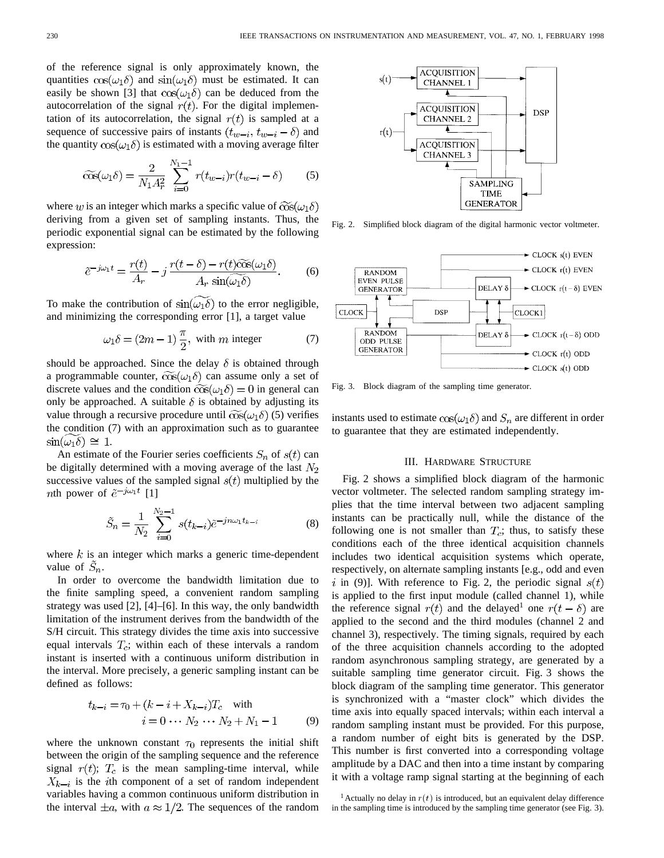of the reference signal is only approximately known, the quantities  $\cos(\omega_1 \delta)$  and  $\sin(\omega_1 \delta)$  must be estimated. It can easily be shown [3] that  $\cos(\omega_1 \delta)$  can be deduced from the autocorrelation of the signal  $r(t)$ . For the digital implementation of its autocorrelation, the signal  $r(t)$  is sampled at a sequence of successive pairs of instants  $(t_{w-i}, t_{w-i} - \delta)$  and the quantity  $\cos(\omega_1 \delta)$  is estimated with a moving average filter

$$
\widetilde{\cos}(\omega_1 \delta) = \frac{2}{N_1 A_r^2} \sum_{i=0}^{N_1 - 1} r(t_{w-i}) r(t_{w-i} - \delta) \tag{5}
$$

where w is an integer which marks a specific value of  $\widetilde{\cos}(\omega_1 \delta)$ deriving from a given set of sampling instants. Thus, the periodic exponential signal can be estimated by the following expression:

$$
\tilde{e}^{-j\omega_1 t} = \frac{r(t)}{A_r} - j \frac{r(t-\delta) - r(t)\tilde{\cos}(\omega_1 \delta)}{A_r \sin(\omega_1 \delta)}.
$$
 (6)

To make the contribution of  $\sin(\omega_1 \delta)$  to the error negligible, and minimizing the corresponding error [1], a target value

$$
\omega_1 \delta = (2m - 1) \frac{\pi}{2}, \text{ with } m \text{ integer} \tag{7}
$$

should be approached. Since the delay  $\delta$  is obtained through a programmable counter,  $\widetilde{\cos}(\omega_1 \delta)$  can assume only a set of discrete values and the condition  $\widetilde{\cos}(\omega_1 \delta) = 0$  in general can only be approached. A suitable  $\delta$  is obtained by adjusting its value through a recursive procedure until  $\widetilde{\cos}(\omega_1 \delta)$  (5) verifies the condition (7) with an approximation such as to guarantee  $\sin(\omega_1 \delta) \approx 1$ .

An estimate of the Fourier series coefficients  $S_n$  of  $s(t)$  can be digitally determined with a moving average of the last  $N_2$ successive values of the sampled signal  $s(t)$  multiplied by the *nth* power of  $\tilde{e}^{-j\omega_1 t}$  [1]

$$
\tilde{S}_n = \frac{1}{N_2} \sum_{i=0}^{N_2 - 1} s(t_{k-i}) \tilde{e}^{-jn\omega_1 t_{k-i}} \tag{8}
$$

where  $k$  is an integer which marks a generic time-dependent value of  $S_n$ .

In order to overcome the bandwidth limitation due to the finite sampling speed, a convenient random sampling strategy was used [2], [4]–[6]. In this way, the only bandwidth limitation of the instrument derives from the bandwidth of the S/H circuit. This strategy divides the time axis into successive equal intervals  $T_c$ ; within each of these intervals a random instant is inserted with a continuous uniform distribution in the interval. More precisely, a generic sampling instant can be defined as follows:

$$
t_{k-i} = \tau_0 + (k - i + X_{k-i})T_c \quad \text{with}
$$
  

$$
i = 0 \cdots N_2 \cdots N_2 + N_1 - 1 \tag{9}
$$

where the unknown constant  $\tau_0$  represents the initial shift between the origin of the sampling sequence and the reference signal  $r(t)$ ;  $T_c$  is the mean sampling-time interval, while  $X_{k-i}$  is the *i*th component of a set of random independent variables having a common continuous uniform distribution in the interval  $\pm a$ , with  $a \approx 1/2$ . The sequences of the random



Fig. 2. Simplified block diagram of the digital harmonic vector voltmeter.



Fig. 3. Block diagram of the sampling time generator.

instants used to estimate  $\cos(\omega_1 \delta)$  and  $S_n$  are different in order to guarantee that they are estimated independently.

# III. HARDWARE STRUCTURE

Fig. 2 shows a simplified block diagram of the harmonic vector voltmeter. The selected random sampling strategy implies that the time interval between two adjacent sampling instants can be practically null, while the distance of the following one is not smaller than  $T_c$ ; thus, to satisfy these conditions each of the three identical acquisition channels includes two identical acquisition systems which operate, respectively, on alternate sampling instants [e.g., odd and even i in (9)]. With reference to Fig. 2, the periodic signal  $s(t)$ is applied to the first input module (called channel 1), while the reference signal  $r(t)$  and the delayed<sup>1</sup> one  $r(t - \delta)$  are applied to the second and the third modules (channel 2 and channel 3), respectively. The timing signals, required by each of the three acquisition channels according to the adopted random asynchronous sampling strategy, are generated by a suitable sampling time generator circuit. Fig. 3 shows the block diagram of the sampling time generator. This generator is synchronized with a "master clock" which divides the time axis into equally spaced intervals; within each interval a random sampling instant must be provided. For this purpose, a random number of eight bits is generated by the DSP. This number is first converted into a corresponding voltage amplitude by a DAC and then into a time instant by comparing it with a voltage ramp signal starting at the beginning of each

<sup>&</sup>lt;sup>1</sup> Actually no delay in  $r(t)$  is introduced, but an equivalent delay difference in the sampling time is introduced by the sampling time generator (see Fig. 3).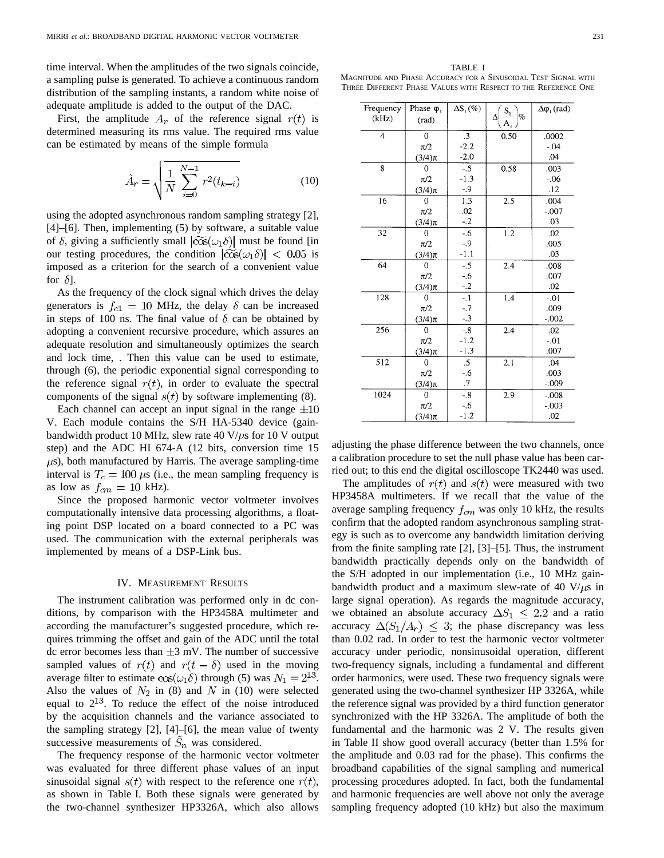time interval. When the amplitudes of the two signals coincide, a sampling pulse is generated. To achieve a continuous random distribution of the sampling instants, a random white noise of adequate amplitude is added to the output of the DAC.

First, the amplitude  $A_r$  of the reference signal  $r(t)$  is determined measuring its rms value. The required rms value can be estimated by means of the simple formula

$$
\tilde{A}_r = \sqrt{\frac{1}{N} \sum_{i=0}^{N-1} r^2(t_{k-i})}
$$
\n(10)

using the adopted asynchronous random sampling strategy [2], [4]–[6]. Then, implementing (5) by software, a suitable value of  $\delta$ , giving a sufficiently small  $|\widetilde{\cos}(\omega_1 \delta)|$  must be found [in our testing procedures, the condition  $|\widetilde{\cos}(\omega_1 \delta)| < 0.05$  is imposed as a criterion for the search of a convenient value for  $\delta$ .

As the frequency of the clock signal which drives the delay generators is  $f_{c1} = 10$  MHz, the delay  $\delta$  can be increased in steps of 100 ns. The final value of  $\delta$  can be obtained by adopting a convenient recursive procedure, which assures an adequate resolution and simultaneously optimizes the search and lock time, . Then this value can be used to estimate, through (6), the periodic exponential signal corresponding to the reference signal  $r(t)$ , in order to evaluate the spectral components of the signal  $s(t)$  by software implementing (8).

Each channel can accept an input signal in the range  $\pm 10$ V. Each module contains the S/H HA-5340 device (gainbandwidth product 10 MHz, slew rate 40 V/ $\mu$ s for 10 V output step) and the ADC HI 674-A (12 bits, conversion time 15  $\mu$ s), both manufactured by Harris. The average sampling-time interval is  $T_c = 100 \mu s$  (i.e., the mean sampling frequency is as low as  $f_{cm} = 10$  kHz).

Since the proposed harmonic vector voltmeter involves computationally intensive data processing algorithms, a floating point DSP located on a board connected to a PC was used. The communication with the external peripherals was implemented by means of a DSP-Link bus.

# IV. MEASUREMENT RESULTS

The instrument calibration was performed only in dc conditions, by comparison with the HP3458A multimeter and according the manufacturer's suggested procedure, which requires trimming the offset and gain of the ADC until the total dc error becomes less than  $\pm 3$  mV. The number of successive sampled values of  $r(t)$  and  $r(t - \delta)$  used in the moving average filter to estimate  $\cos(\omega_1 \delta)$  through (5) was  $N_1 = 2^{13}$ . Also the values of  $N_2$  in (8) and N in (10) were selected equal to  $2^{13}$ . To reduce the effect of the noise introduced by the acquisition channels and the variance associated to the sampling strategy [2], [4]–[6], the mean value of twenty successive measurements of  $S_n$  was considered.

The frequency response of the harmonic vector voltmeter was evaluated for three different phase values of an input sinusoidal signal  $s(t)$  with respect to the reference one  $r(t)$ , as shown in Table I. Both these signals were generated by the two-channel synthesizer HP3326A, which also allows

TABLE I MAGNITUDE AND PHASE ACCURACY FOR A SINUSOIDAL TEST SIGNAL WITH THREE DIFFERENT PHASE VALUES WITH RESPECT TO THE REFERENCE ONE

| Frequency      | Phase $\varphi_1$ | $\Delta S_1(\%)$     | $S_1$              | $\Delta \phi_1$ (rad) |
|----------------|-------------------|----------------------|--------------------|-----------------------|
| (kHz)          | (rad)             |                      | $\%$<br>Δ<br>(A, ) |                       |
| $\overline{4}$ | $\overline{0}$    | $\cdot$ <sub>3</sub> | 0.50               | .0002                 |
|                | $\pi/2$           | $-2.2$               |                    | $-.04$                |
|                | $(3/4)\pi$        | $-2.0$               |                    | .04                   |
| 8              | 0                 | $-.5$                | 0.58               | .003                  |
|                | $\pi/2$           | $-1.3$               |                    | $-0.06$               |
|                | $(3/4)\pi$        | $-0.9$               |                    | .12                   |
| 16             | 0                 | 1.3                  | 2.5                | .004                  |
|                | $\pi/2$           | .02                  |                    | $-.007$               |
|                | $(3/4)\pi$        | $-2$                 |                    | .03                   |
| 32             | 0                 | $-0.6$               | 1.2                | .02                   |
|                | $\pi/2$           | $-9$                 |                    | .005                  |
|                | $(3/4)\pi$        | $-1.1$               |                    | .03                   |
| 64             | $\overline{0}$    | $-.5$                | 2.4                | .008                  |
|                | $\pi/2$           | $-0.6$               |                    | .007                  |
|                | $(3/4)\pi$        | $-.2$                |                    | .02                   |
| 128            | $\overline{0}$    | $-1$                 | 1.4                | $-01$                 |
|                | $\pi/2$           | $-.7$                |                    | .009                  |
|                | $(3/4)\pi$        | $-.3$                |                    | $-.002$               |
| 256            | $\Omega$          | $-.8$                | 2.4                | .02                   |
|                | $\pi/2$           | $-1.2$               |                    | $-.01$                |
|                | $(3/4)\pi$        | $-1.3$               |                    | .007                  |
| 512            | 0                 | .5                   | 2.1                | .04                   |
|                | $\pi/2$           | -.6                  |                    | .003                  |
|                | $(3/4)\pi$        | .7                   |                    | $-.009$               |
| 1024           | $\Omega$          | $-.8$                | 2.9                | $-0.008$              |
|                | $\pi/2$           | $-.6$                |                    | $-.003$               |
|                | $(3/4)\pi$        | $-1.2$               |                    | .02                   |

adjusting the phase difference between the two channels, once a calibration procedure to set the null phase value has been carried out; to this end the digital oscilloscope TK2440 was used.

The amplitudes of  $r(t)$  and  $s(t)$  were measured with two HP3458A multimeters. If we recall that the value of the average sampling frequency  $f_{cm}$  was only 10 kHz, the results confirm that the adopted random asynchronous sampling strategy is such as to overcome any bandwidth limitation deriving from the finite sampling rate [2], [3]–[5]. Thus, the instrument bandwidth practically depends only on the bandwidth of the S/H adopted in our implementation (i.e., 10 MHz gainbandwidth product and a maximum slew-rate of 40 V/ $\mu$ s in large signal operation). As regards the magnitude accuracy, we obtained an absolute accuracy  $\Delta S_1 \leq 2.2$  and a ratio accuracy  $\Delta(S_1/A_r) \leq 3$ ; the phase discrepancy was less than 0.02 rad. In order to test the harmonic vector voltmeter accuracy under periodic, nonsinusoidal operation, different two-frequency signals, including a fundamental and different order harmonics, were used. These two frequency signals were generated using the two-channel synthesizer HP 3326A, while the reference signal was provided by a third function generator synchronized with the HP 3326A. The amplitude of both the fundamental and the harmonic was 2 V. The results given in Table II show good overall accuracy (better than 1.5% for the amplitude and 0.03 rad for the phase). This confirms the broadband capabilities of the signal sampling and numerical processing procedures adopted. In fact, both the fundamental and harmonic frequencies are well above not only the average sampling frequency adopted (10 kHz) but also the maximum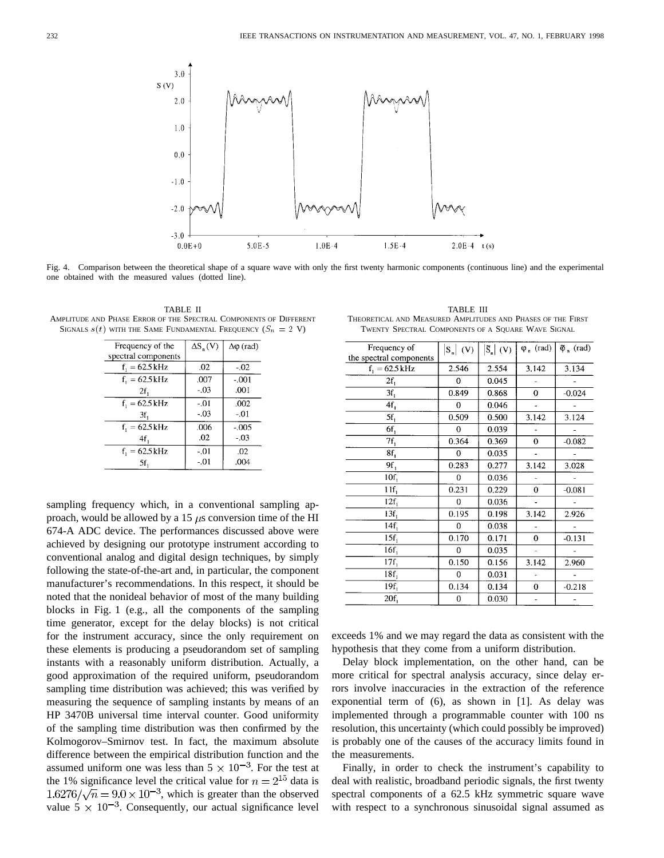

Fig. 4. Comparison between the theoretical shape of a square wave with only the first twenty harmonic components (continuous line) and the experimental one obtained with the measured values (dotted line).

TABLE II AMPLITUDE AND PHASE ERROR OF THE SPECTRAL COMPONENTS OF DIFFERENT SIGNALS  $s(t)$  with the SAME FUNDAMENTAL FREQUENCY  $(S_n = 2$  V)

| Frequency of the         | $\Delta S_n(V)$ | $\Delta\varphi$ (rad) |
|--------------------------|-----------------|-----------------------|
| spectral components      |                 |                       |
| $f_1 = 62.5 \text{ kHz}$ | .02             | $-.02$                |
| $f_1 = 62.5 \text{ kHz}$ | .007            | $-.001$               |
| 2f,                      | $-03$           | .001                  |
| $f_1 = 62.5 \text{ kHz}$ | $-.01$          | .002                  |
| 3f <sub>1</sub>          | $-.03$          | $-.01$                |
| $f_1 = 62.5 \text{ kHz}$ | .006            | $-005$                |
| 4f,                      | .02             | $-0.3$                |
| $f_1 = 62.5 \text{ kHz}$ | $-.01$          | .02                   |
| 5f,                      | $-.01$          | .004                  |

sampling frequency which, in a conventional sampling approach, would be allowed by a 15  $\mu$ s conversion time of the HI 674-A ADC device. The performances discussed above were achieved by designing our prototype instrument according to conventional analog and digital design techniques, by simply following the state-of-the-art and, in particular, the component manufacturer's recommendations. In this respect, it should be noted that the nonideal behavior of most of the many building blocks in Fig. 1 (e.g., all the components of the sampling time generator, except for the delay blocks) is not critical for the instrument accuracy, since the only requirement on these elements is producing a pseudorandom set of sampling instants with a reasonably uniform distribution. Actually, a good approximation of the required uniform, pseudorandom sampling time distribution was achieved; this was verified by measuring the sequence of sampling instants by means of an HP 3470B universal time interval counter. Good uniformity of the sampling time distribution was then confirmed by the Kolmogorov–Smirnov test. In fact, the maximum absolute difference between the empirical distribution function and the assumed uniform one was less than  $5 \times 10^{-3}$ . For the test at the 1% significance level the critical value for  $n = 2^{15}$  data is  $1.6276/\sqrt{n} = 9.0 \times 10^{-3}$ , which is greater than the observed value  $5 \times 10^{-3}$ . Consequently, our actual significance level

TABLE III THEORETICAL AND MEASURED AMPLITUDES AND PHASES OF THE FIRST TWENTY SPECTRAL COMPONENTS OF A SQUARE WAVE SIGNAL

| Frequency of             | $S_n$ (V)   | $\tilde{S}_n$ (V) | $\varphi_n$ (rad) | $\Phi_n$ (rad) |
|--------------------------|-------------|-------------------|-------------------|----------------|
| the spectral components  |             |                   |                   |                |
| $f_1 = 62.5 \text{ kHz}$ | 2.546       | 2.554             | 3.142             | 3.134          |
| $2f_1$                   | $\mathbf 0$ | 0.045             |                   |                |
| 3f <sub>1</sub>          | 0.849       | 0.868             | $\mathbf 0$       | $-0.024$       |
| 4f <sub>1</sub>          | 0           | 0.046             |                   |                |
| $5f_1$                   | 0.509       | 0.500             | 3.142             | 3.124          |
| 6f,                      | 0           | 0.039             |                   |                |
| $7f_1$                   | 0.364       | 0.369             | $\Omega$          | $-0.082$       |
| 8f,                      | $\bf{0}$    | 0.035             | $\overline{a}$    |                |
| $9f_1$                   | 0.283       | 0.277             | 3.142             | 3.028          |
| 10f <sub>1</sub>         | $\mathbf 0$ | 0.036             |                   |                |
| 11f <sub>1</sub>         | 0.231       | 0.229             | $\bf{0}$          | $-0.081$       |
| 12f <sub>1</sub>         | 0           | 0.036             |                   |                |
| $13f_1$                  | 0.195       | 0.198             | 3.142             | 2.926          |
| 14f.                     | 0           | 0.038             |                   |                |
| $15f_1$                  | 0.170       | 0.171             | 0                 | $-0.131$       |
| $16f_1$                  | 0           | 0.035             |                   |                |
| $17f_1$                  | 0.150       | 0.156             | 3.142             | 2.960          |
| 18f <sub>1</sub>         | 0           | 0.031             |                   |                |
| 19f <sub>1</sub>         | 0.134       | 0.134             | 0                 | $-0.218$       |
| 20f <sub>1</sub>         | 0           | 0.030             |                   |                |
|                          |             |                   |                   |                |

exceeds 1% and we may regard the data as consistent with the hypothesis that they come from a uniform distribution.

Delay block implementation, on the other hand, can be more critical for spectral analysis accuracy, since delay errors involve inaccuracies in the extraction of the reference exponential term of (6), as shown in [1]. As delay was implemented through a programmable counter with 100 ns resolution, this uncertainty (which could possibly be improved) is probably one of the causes of the accuracy limits found in the measurements.

Finally, in order to check the instrument's capability to deal with realistic, broadband periodic signals, the first twenty spectral components of a 62.5 kHz symmetric square wave with respect to a synchronous sinusoidal signal assumed as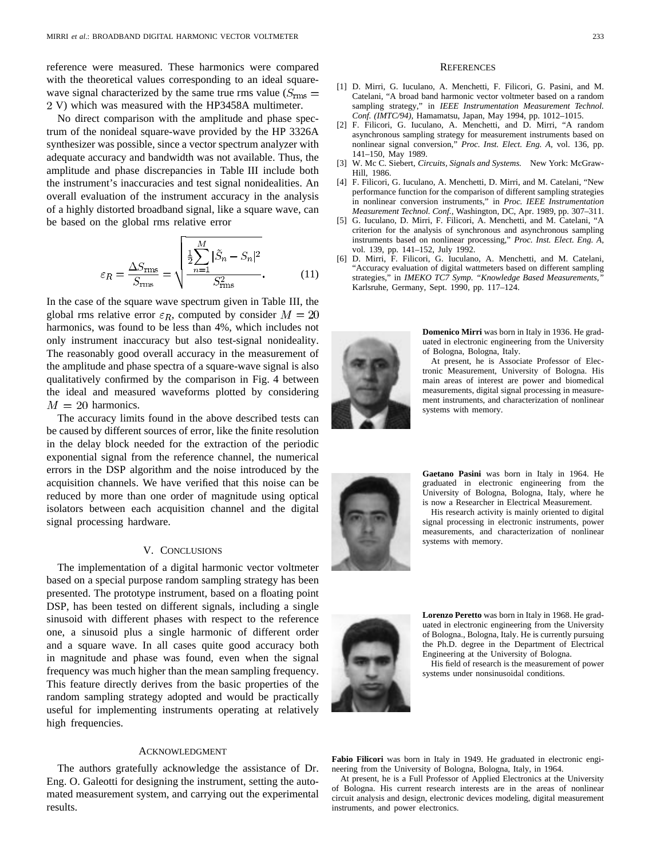reference were measured. These harmonics were compared with the theoretical values corresponding to an ideal squarewave signal characterized by the same true rms value ( $S_{\rm rms}$  = 2 V) which was measured with the HP3458A multimeter.

No direct comparison with the amplitude and phase spectrum of the nonideal square-wave provided by the HP 3326A synthesizer was possible, since a vector spectrum analyzer with adequate accuracy and bandwidth was not available. Thus, the amplitude and phase discrepancies in Table III include both the instrument's inaccuracies and test signal nonidealities. An overall evaluation of the instrument accuracy in the analysis of a highly distorted broadband signal, like a square wave, can be based on the global rms relative error

$$
\varepsilon_R = \frac{\Delta S_{\rm rms}}{S_{\rm rms}} = \sqrt{\frac{\frac{1}{2} \sum_{n=1}^{M} |\tilde{S}_n - S_n|^2}{S_{\rm rms}^2}}.
$$
 (11)

In the case of the square wave spectrum given in Table III, the global rms relative error  $\varepsilon_R$ , computed by consider  $M = 20$ harmonics, was found to be less than 4%, which includes not only instrument inaccuracy but also test-signal nonideality. The reasonably good overall accuracy in the measurement of the amplitude and phase spectra of a square-wave signal is also qualitatively confirmed by the comparison in Fig. 4 between the ideal and measured waveforms plotted by considering  $M = 20$  harmonics.

The accuracy limits found in the above described tests can be caused by different sources of error, like the finite resolution in the delay block needed for the extraction of the periodic exponential signal from the reference channel, the numerical errors in the DSP algorithm and the noise introduced by the acquisition channels. We have verified that this noise can be reduced by more than one order of magnitude using optical isolators between each acquisition channel and the digital signal processing hardware.

#### V. CONCLUSIONS

The implementation of a digital harmonic vector voltmeter based on a special purpose random sampling strategy has been presented. The prototype instrument, based on a floating point DSP, has been tested on different signals, including a single sinusoid with different phases with respect to the reference one, a sinusoid plus a single harmonic of different order and a square wave. In all cases quite good accuracy both in magnitude and phase was found, even when the signal frequency was much higher than the mean sampling frequency. This feature directly derives from the basic properties of the random sampling strategy adopted and would be practically useful for implementing instruments operating at relatively high frequencies.

### ACKNOWLEDGMENT

The authors gratefully acknowledge the assistance of Dr. Eng. O. Galeotti for designing the instrument, setting the automated measurement system, and carrying out the experimental results.

#### **REFERENCES**

- [1] D. Mirri, G. Iuculano, A. Menchetti, F. Filicori, G. Pasini, and M. Catelani, "A broad band harmonic vector voltmeter based on a random sampling strategy," in *IEEE Instrumentation Measurement Technol. Conf. (IMTC/94),* Hamamatsu, Japan, May 1994, pp. 1012–1015.
- [2] F. Filicori, G. Iuculano, A. Menchetti, and D. Mirri, "A random asynchronous sampling strategy for measurement instruments based on nonlinear signal conversion," *Proc. Inst. Elect. Eng. A,* vol. 136, pp. 141–150, May 1989.
- [3] W. Mc C. Siebert, *Circuits, Signals and Systems.* New York: McGraw-Hill, 1986.
- [4] F. Filicori, G. Iuculano, A. Menchetti, D. Mirri, and M. Catelani, "New performance function for the comparison of different sampling strategies in nonlinear conversion instruments," in *Proc. IEEE Instrumentation Measurement Technol. Conf.,* Washington, DC, Apr. 1989, pp. 307–311.
- [5] G. Iuculano, D. Mirri, F. Filicori, A. Menchetti, and M. Catelani, "A criterion for the analysis of synchronous and asynchronous sampling instruments based on nonlinear processing," *Proc. Inst. Elect. Eng. A,* vol. 139, pp. 141–152, July 1992.
- [6] D. Mirri, F. Filicori, G. Iuculano, A. Menchetti, and M. Catelani, "Accuracy evaluation of digital wattmeters based on different sampling strategies," in *IMEKO TC7 Symp. "Knowledge Based Measurements,"* Karlsruhe, Germany, Sept. 1990, pp. 117–124.



**Domenico Mirri** was born in Italy in 1936. He graduated in electronic engineering from the University of Bologna, Bologna, Italy.

At present, he is Associate Professor of Electronic Measurement, University of Bologna. His main areas of interest are power and biomedical measurements, digital signal processing in measurement instruments, and characterization of nonlinear systems with memory.



**Gaetano Pasini** was born in Italy in 1964. He graduated in electronic engineering from the University of Bologna, Bologna, Italy, where he is now a Researcher in Electrical Measurement.

His research activity is mainly oriented to digital signal processing in electronic instruments, power measurements, and characterization of nonlinear systems with memory.



**Lorenzo Peretto** was born in Italy in 1968. He graduated in electronic engineering from the University of Bologna., Bologna, Italy. He is currently pursuing the Ph.D. degree in the Department of Electrical Engineering at the University of Bologna.

His field of research is the measurement of power systems under nonsinusoidal conditions.

**Fabio Filicori** was born in Italy in 1949. He graduated in electronic engineering from the University of Bologna, Bologna, Italy, in 1964.

At present, he is a Full Professor of Applied Electronics at the University of Bologna. His current research interests are in the areas of nonlinear circuit analysis and design, electronic devices modeling, digital measurement instruments, and power electronics.